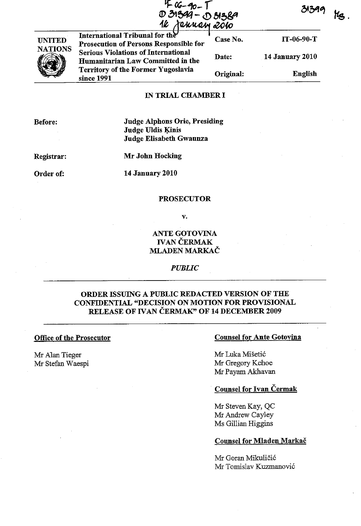|                | 4 06-90-T<br>D 31399 - D 31389<br>16 Jehrean <u>2010</u>                        |           | 31399                  |
|----------------|---------------------------------------------------------------------------------|-----------|------------------------|
| <b>UNITED</b>  | International Tribunal for the<br>Prosecution of Persons Responsible for        | Case No.  | $IT-06-90-T$           |
| <b>NATIONS</b> | <b>Serious Violations of International</b><br>Humanitarian Law Committed in the | Date:     | <b>14 January 2010</b> |
|                | <b>Territory of the Former Yugoslavia</b><br>since 1991                         | Original: | <b>English</b>         |

### IN TRIAL CHAMBER I

| Before:    | <b>Judge Alphons Orie, Presiding</b><br><b>Judge Uldis Kinis</b> |  |
|------------|------------------------------------------------------------------|--|
|            | Judge Elisabeth Gwaunza                                          |  |
| Registrar: | Mr John Hocking                                                  |  |
| Order of:  | <b>14 January 2010</b>                                           |  |
|            | <b>PROSECUTOR</b>                                                |  |

v.

## ANTE GOTOVINA **IVAN ČERMAK** MLADEN MARKAC

### *PUBLIC*

## ORDER ISSUING A PUBLIC REDACTED VERSION OF THE CONFIDENTIAL "DECISION ON MOTION FOR PROVISIONAL RELEASE OF IVAN ČERMAK" OF 14 DECEMBER 2009

### Office of the Prosecutor

Mr AIan Tieger Mr Stefan Waespi

### Counsel for Ante Gotovina

Mr Luka Miseti6 Mr Gregory Kehoe Mr Payam Akhavan

## Counsel for Ivan Cermak

Mr Steven Kay, QC Mr Andrew Cayley Ms Gillian Higgins

### Counsel for Mladen Markac

Mr Goran Mikuličić Mr Tomislav Kuzmanović

**tfs.**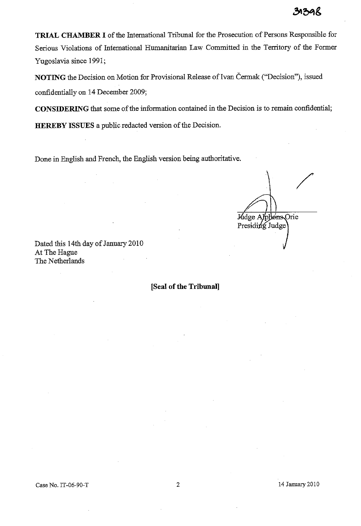**TRIAL CHAMBER I** of the International Tribunal for the Prosecution of Persons Responsible for Serious Violations of International Humanitarian Law Committed in the Territory of the Former Yugoslavia since 1991;

**NOTING** the Decision on Motion for Provisional Release of Ivan Čermak ("Decision"), issued confidentially on 14 December 2009;

**CONSIDERING** that some of the information contained in the Decision is to remain confidential;

**HEREBY ISSUES** a public redacted version of the Decision.

Done in English and French, the English version being authoritative.

Madge Applems Orie Presiding Judge

Dated this 14th day of January 2010 At The Hague The Netherlands

**[Seal of the Tribunal]** 

14 January 2010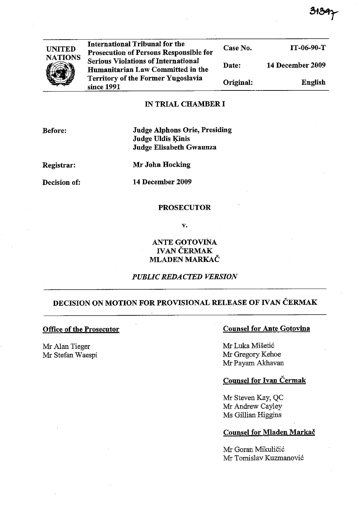| <b>UNITED</b>  | <b>International Tribunal for the</b><br>Prosecution of Persons Responsible for | Case No.  | $IT-06-90-T$     |
|----------------|---------------------------------------------------------------------------------|-----------|------------------|
| <b>NATIONS</b> | <b>Serious Violations of International</b><br>Humanitarian Law Committed in the | Date:     | 14 December 2009 |
|                | <b>Territory of the Former Yugoslavia</b><br>since 1991                         | Original: | English          |
|                | IN TPIAL CHAMRER I                                                              |           |                  |

### IN TRIAL CHAMBER I

Judge Alphons Orie, Presiding Judge Uldis Kinis Judge Elisabeth Gwaunza

Registrar:

Mr John Hocking

Decision of:

**14** December 2009

### PROSECUTOR

v.

## ANTE GOTOVINA IVAN ČERMAK MLADEN MARKAC

### *PUBLIC REDACTED VERSION*

# DECISION ON MOTION FOR PROVISIONAL RELEASE OF IVAN ČERMAK

## Office of the Prosecutor

Mr AIan Tieger Mr Stefan Waespi

### Counsel for Ante Gotovina

Mr Luka Mišetić Mr Gregory Kehoe Mr Payam Akhavan

## Counsel for Ivan Čermak

Mr Steven Kay, QC Mr Andrew Cayley Ms Gillian Riggins

### Counsel for Mladen Markac

Mr Goran Mikuličić Mr Tomislav Kuzmanović

Before: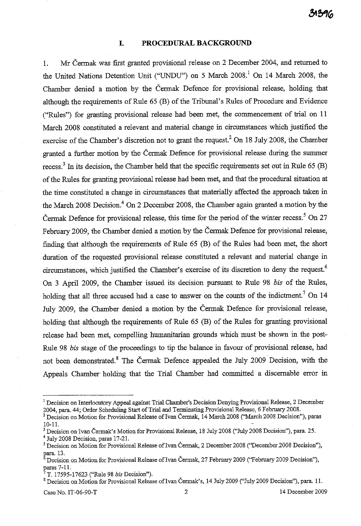### **I. PROCEDURAL BACKGROUND**

1. Mr Cennak was first granted provisional release on 2 December 2004, and returned to the United Nations Detention Unit ("UNDU") on 5 March 2008.<sup>1</sup> On 14 March 2008, the Chamber denied a motion by the Cennak Defence for provisional release, holding that although the requirements of Rule 65 (B) of the Tribunal's Rules of Procedure and Evidence ("Rules") for granting provisional release had been met, the commencement of trial on 11 March 2008 constituted a relevant and material change in circumstances which justified the exercise of the Chamber's discretion not to grant the request.<sup>2</sup> On 18 July 2008, the Chamber granted a further motion by the Cermak Defence for provisional release during the surmner recess.<sup>3</sup> In its decision, the Chamber held that the specific requirements set out in Rule 65 (B) of the Rules for granting provisional release had been met, and that the procedural situation at the time constituted a change in circumstances that materially affected the approach taken in the March 2008 Decision.<sup>4</sup> On 2 December 2008, the Chamber again granted a motion by the Čermak Defence for provisional release, this time for the period of the winter recess.<sup>5</sup> On 27 February 2009, the Chamber denied a motion by the Cermak Defence for provisional release, finding that although the requirements of Rule 65 (B) of the Rules had been met, the short duration of the requested provisional release constituted a relevant and material change in circumstances, which justified the Chamber's exercise of its discretion to deny the request.<sup>6</sup> On 3 **April** 2009, the Chamber issued its decision pursuant to Rule 98 *bis* of the Rules, holding that all three accused had a case to answer on the counts of the indictment.<sup>7</sup> On 14 July 2009, the Chamber deuied a motion by the Cermak Defence for provisional release, holding that although the requirements of Rule 65 (B) of the Rules for granting provisional release had been met, compelling humanitarian grounds which must be shown in the post-Rule 98 *bis* stage of the proceedings to tip the balance in favour of provisional release, had not been demonstrated.<sup>8</sup> The Cermak Defence appealed the July 2009 Decision, with the Appeals Chamber holding that the Trial Chamber had committed a discernable error in

<sup>8</sup> Decision on Motion for Provisional Release of Ivan Čermak's, 14 July 2009 ("July 2009 Decision"), para. 11.

Case No. IT-06-90-T 2 14 December 2009

<sup>&</sup>lt;sup>1</sup> Decision on Interlocutory Appeal against Trial Chamber's Decision Denying Provisional Release, 2 December 2004, para. 44; Order Scheduling Start of Trial and Terminating Provisional Release, 6 February 2008.

<sup>&</sup>lt;sup>2</sup> Decision on Motion for Provisional Release of Ivan Čermak, 14 March 2008 ("March 2008 Decision"), paras 10-11.

<sup>&</sup>lt;sup>3</sup> Decision on Ivan Čermak's Motion for Provisional Release, 18 July 2008 ("July 2008 Decision"), para. 25.  $4$  July 2008 Decision, paras 17-21.

<sup>&</sup>lt;sup>5</sup> Decision on Motion for Provisional Release of Ivan Čermak, 2 December 2008 ("December 2008 Decision"), para. 13.

Decision on Motion for Provisional Release of Ivan Cermak, 27 February 2009 (''February 2009 Decision''), paras 7-11.

<sup>7</sup> T. 17595-17623 ("Rule 98 *bis* Decision").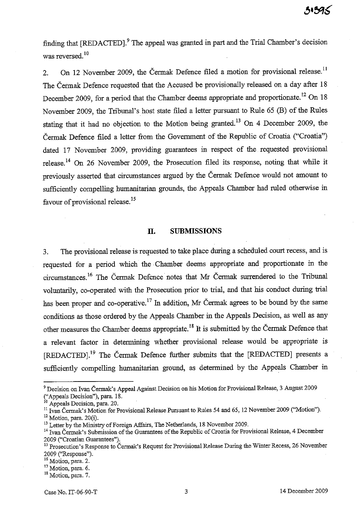finding that [REDACTED].<sup>9</sup> The appeal was granted in part and the Trial Chamber's decision was reversed.<sup>10</sup>

2. On 12 November 2009, the Čermak Defence filed a motion for provisional release.<sup>11</sup> The Čermak Defence requested that the Accused be provisionally released on a day after 18 December 2009, for a period that the Chamber deems appropriate and proportionate.<sup>12</sup> On 18 November 2009, the Tribunal's host state filed a letter pursuant to Rule 65 (B) of the Rules stating that it had no objection to the Motion being granted.<sup>13</sup> On 4 December 2009, the Cermak Defence filed a letter from the Government of the Republic of Croatia ("Croatia") dated 17 November 2009, providing guarantees in respect of the requested provisional release.<sup>14</sup> On 26 November 2009, the Prosecution filed its response, noting that while it previously asserted that circumstances argued by the Cermak Defence would not amount to sufficiently compelling humanitarian grounds, the Appeals Chamber had ruled otherwise in favour of provisional release.<sup>15</sup>

### **11. SUBMISSIONS**

3. The provisional release is requested to take place during a scheduled court recess, and is requested for a period which the Chamber deems appropriate and proportionate in the circumstances.<sup>16</sup> The Cermak Defence notes that Mr Cermak surrendered to the Tribunal voluntarily, co-operated with the Prosecution prior to trial, and that his conduct during trial has been proper and co-operative.<sup>17</sup> In addition, Mr Čermak agrees to be bound by the same conditions as those ordered by the Appeals Chamber in the Appeals Decision, as well as any other measures the Chamber deems appropriate. 18 It is submitted by the Cermak Defence that a relevant factor in determining whether provisional release would be appropriate is [REDACTED].<sup>19</sup> The Cermak Defence further submits that the [REDACTED] presents a sufficiently compelling humanitarian ground, as determined by the Appeals Chamber in

<sup>&</sup>lt;sup>9</sup> Decision on Ivan Čermak's Appeal Against Decision on his Motion for Provisional Release, 3 August 2009 ("Appeals Decision"), para. 18.

<sup>&</sup>lt;sup>10</sup> Appeals Decision, para. 20.

 $11$  Ivan Čermak's Motion for Provisional Release Pursuant to Rules 54 and 65, 12 November 2009 ("Motion").

 $12$  Motion, para. 20(i).

<sup>&</sup>lt;sup>13</sup> Letter by the Ministry of Foreign Affairs, The Netherlands, 18 November 2009.

<sup>&</sup>lt;sup>14</sup> Ivan Čermak's Submission of the Guarantees of the Republic of Croatia for Provisional Release, 4 December 2009 ("Croatian Guarantees").

<sup>&</sup>lt;sup>15</sup> Prosecution's Response to Cermak's Request for Provisional Release During the Winter Recess, 26 November 2009 ("Response").

**<sup>16</sup> Motion, para. 2.** 

**<sup>17</sup> Motion, para. 6.** 

<sup>&</sup>lt;sup>18</sup> Motion, para. 7.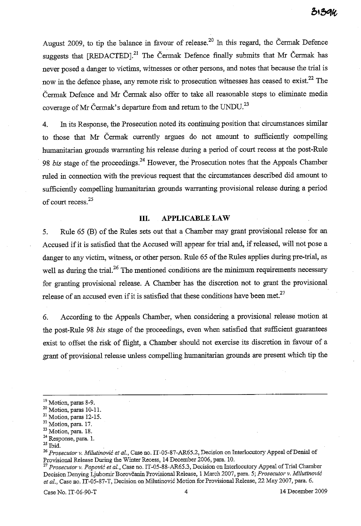August 2009, to tip the balance in favour of release.<sup>20</sup> In this regard, the Čermak Defence suggests that  $[REDACTED]$ <sup>21</sup> The Čermak Defence finally submits that Mr Čermak has never posed a danger to victims, witnesses or other persons, and notes that because the trial is now in the defence phase, any remote risk to prosecution witnesses has ceased to exist.<sup>22</sup> The Cennak Defence and Mr Cennak also offer to take all reasonable steps to eliminate media coverage of Mr Čermak's departure from and return to the UNDU.<sup>23</sup>

4. In its Response, the Prosecution noted its continuing position that circumstances similar to those that Mr Cermak currently argues do not amount to sufficiently compelling humanitarian grounds warranting his release during a period of court recess at the post-Rule 98 *bis* stage of the proceedings.<sup>24</sup> However, the Prosecution notes that the Appeals Chamber ruled in connection with the previous request that the circumstances described did amount to sufficiently compelling humanitarian grounds warranting provisional release during a period of court recess.<sup>25</sup>

### **Ill. APPLICABLE LAW**

5. Rule 65 (B) of the Rules sets out that a Chamber may grant provisional release for an Accused if it is satisfied that the Accused will appear for trial and, if released, will not pose a danger to any victim, witness, or other person. Rule 65 of the Rules applies during pre-trial, as well as during the trial.<sup>26</sup> The mentioned conditions are the minimum requirements necessary for granting provisional release. A Chamber has the discretion not to grant the provisional release of an accused even if it is satisfied that these conditions have been met.<sup>27</sup>

6. According to the Appeals Chamber, when considering a provisional release motion at the post-Rule 98 *bis* stage of the proceedings, even when satisfied that sufficient guarantees exist to offset the risk of flight, a Chamber should not exercise its discretion in favour of a grant of provisional release unless compelling humanitarian grounds are present which tip the

 $25$  Ibid.

Case No. IT-06-90-T 4 14 December 2009

<sup>19</sup> Motion, paras 8-9.

<sup>20</sup> Motion, paras 10-11.

 $21$  Motion, paras 12-15.

<sup>&</sup>lt;sup>22</sup> Motion, para. 17.

<sup>23</sup> Motion, para. 18.

**<sup>24</sup> Response, para. 1.** 

*<sup>26</sup> Prosecutor* v. *Milutinovic et aI.,* Case no. IT-05-87-AR65.2, Decision on Interlocutory Appeal of Denial of Provisional Release During the Winter Recess, 14 December 2006, para. 10.

*<sup>27</sup> Prosecutor* v. *Popovic et aI.,* Case no. IT-05-88-AR65.3, Decision on Interlocutory Appeal of Trial Charuber Decision Denying Ljubomir Borovčanin Provisional Release, 1 March 2007, para. 5; *Prosecutor v. Milutinović* et al., Case no. IT-05-87-T, Decision on Milutinović Motion for Provisional Release, 22 May 2007, para. 6.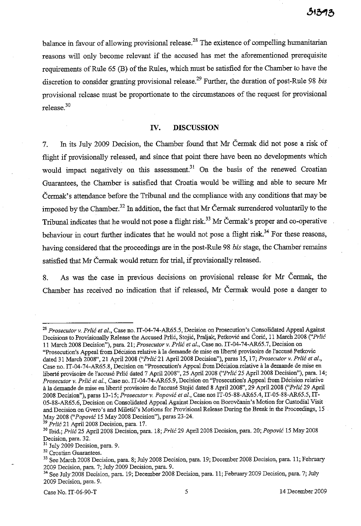balance in favour of allowing provisional release.<sup>28</sup> The existence of compelling humanitarian reasons will only become relevant if the accused has met the aforementioned prerequisite requirements of Rule 65 (B) of the Rules, which must be satisfied for the Chamber to have the discretion to consider granting provisional release.29 Further, the duration of post-Rule 98 *bis*  provisional release must be proportionate to the circumstances of the request for provisional release.<sup>30</sup>

### **IV. DISCUSSION**

7. In its July 2009 Decision, the Chamber found that Mr Cermak did not pose a risk of flight if provisionally released, and since that point there have been no developments which would impact negatively on this assessment.<sup>31</sup> On the basis of the renewed Croatian Guarantees, the Chamber is satisfied that Croatia would be willing and able to secure Mr Cermak's attendance before the Tribunal and the compliance with any conditions that may be imposed by the Chamber.<sup>32</sup> In addition, the fact that Mr Cermak surrendered voluntarily to the Tribunal indicates that he would not pose a flight risk.<sup>33</sup> Mr Čermak's proper and co-operative behaviour in court further indicates that he would not pose a flight risk.<sup>34</sup> For these reasons, having considered that the proceedings are in the post-Rule 98 *bis* stage, the Chamber remains satisfied that Mr Cermak would return for trial, if provisionally released.

8. As was the case in previous decisions on provisional release for Mr Cermak, the Chamber has received no indication that if released, Mr Cermak would pose a danger to

*29 Prlic* 21 April200B Decision, para. 17.

Case No. IT-06-90-T 5 14 December 2009

<sup>28</sup>*Prosecutor* v. *Prlic et 01.,* Case no. IT-04-74-AR65.5, Decision on Prosecution's Consolidated Appeal Against Decisions to Provisionally Release the Accnsed Prlic, Stojie, Praljak, Petkovie and Corie, 11 March *200B ("Prlic*  11 March *200B* Decision"), para. 21; *Prosecutor* v. *Prlic et 01.,* Case no. IT-04-74-AR65.7, Decision on "Prosecution's Appeal from Décision relative à la demande de mise en liberté provisoire de l'accusé Petkovic dated 31 March 2008", 21 April 2008 ("Prlic 21 April 2008 Decision"), paras 15, 17; Prosecutor v. Prlic et al., Case no. IT-04-74-AR65.8, Decision on "Prosecution's Appeal from Décision relative à la demande de mise en liberte provisoire de l'accuse Prlic dated 7 April *200B",* 25 April200B *("Prlic* 25 April200B Decision"), para. 14; *Prosecutor* v. *Prlic et 01.,* Case no. IT-04-74-AR65.9, Decision on "Prosecution's Appeal from Decision relative ilIa demande de mise en liberte provisoire de l'accuse Stojie dated *B* ApriI200B", 29 April200B *("Prlic* 29 April *200B* Decision"), paras 13-15; *Prosecutor* v. *Popov;c et al.,* Case nos *IT-05-BB-AR65.4, IT-05-BB-AR65.5,* IT-05-88-AR65.6, Decision on Consolidated Appeal Against Decision on Borovčanin's Motion for Custodial Visit and Decision on Gvero's and Miletic's Motions for Provisional Release During the Break in the Proceedings, 15 May 2008 *("Popov;c* 15 May 2008 Decision"), paras 23-24.

<sup>30</sup>Ibid.; *Prlic* 25 April200B Decision, para. *IB; Prlic* 29 April 2008 Decision, para. 20; *Popov;c* 15 May 2008 **Decision, para. 32.** 

 $31$  July 2009 Decision, para. 9.

<sup>&</sup>lt;sup>32</sup> Croatian Guarantees.

<sup>33</sup> See March 2008 Decision, para. 8; July *200B* Decision, para. 19; December 2008 Decision, para. 11; February 2009 Decision, para. 7; July 2009 Decision, para. 9.

<sup>34</sup> See July 2008 Decision, para. 19; December *200B* Decision, para. 11; February 2009 Decision, para. 7; July 2009 Decision, para. 9.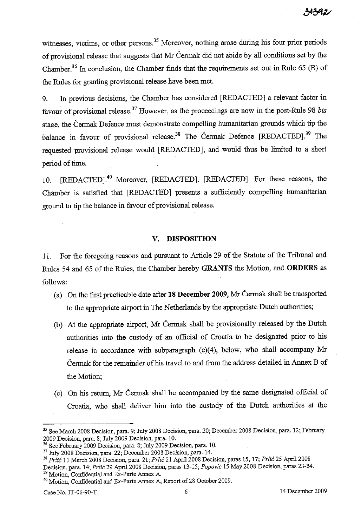witnesses, victims, or other persons.<sup>35</sup> Moreover, nothing arose during his four prior periods of provisional release that suggests that Mr Cennak did not abide by all conditions set by the Chamber.36 In conclusion, the Chamber finds that the requirements set out in Rule 65 (B) of the Rules for granting provisional release have been met.

9. In previous decisions, the Chamber has considered [REDACTED] a relevant factor in favour of provisional release.37 However, as the proceedings are now in the post-Rule 98 *bis*  stage, the Cermak Defence must demonstrate compelling humanitarian grounds which tip the balance in favour of provisional release.<sup>38</sup> The Cermak Defence [REDACTED].<sup>39</sup> The requested provisional release would [REDACTED], and would thus be limited to a short period of time.

10. [REDACTED].<sup>40</sup> Moreover, [REDACTED]. [REDACTED]. For these reasons, the Chamber is satisfied that [REDACTED] presents a sufficiently compelling humanitarian ground to tip the balance in favour of provisional release.

### **V. DISPOSITION**

**11.** For the foregoing reasons and pursuant to Article 29 of the Statute of the Tribunal and Rules 54 and 65 of the Rules, the Chamber hereby **GRANTS** the Motion, and **ORDERS** as follows:

- (a) On the first practicable date after **18 December 2009,** Mr Cermak shall be transported to the appropriate airport in The Netherlands by the appropriate Dutch authorities;
- (b) At the appropriate airport, Mr Cennak shall be provisionally released by the Dutch authorities into the custody of an official of Croatia to be designated prior to his release in accordance with subparagraph (e)(4), below, who shall accompany Mr Cennak for the remainder of his travel to and from the address detailed in Annex B of the Motion;
- (c) On his return, Mr Cennak shall be accompanied by the same designated official of Croatia, who shall deliver him into the custody of the Dutch authorities at the

<sup>35</sup> See March 2008 Decision, para. 9; July 2008 Decision, para. 20; December 2008 Decision, para. 12; February 2009 Decision, para. 8; July 2009 Decision, para. 10.

<sup>&</sup>lt;sup>36</sup> See February 2009 Decision, para. 8; July 2009 Decision, para. 10.

<sup>37</sup> July 2008 Decision, para. 22; December 2008 Decision, para. 14.

<sup>38</sup>*Prlic* 11 March 2008 Decision, para. 21; *Prlic* 21 April 2008 Decision, paras 15, 17; *Prlic* 25 April 2008

Decision, para. 14; *Prlic* 29 April 2008 Decision, paras 13-15; *Popovic* 15 May 2008 Decision, paras 23-24.

<sup>&</sup>lt;sup>39</sup> Motion, Confidential and Ex-Parte Annex A.

<sup>&</sup>lt;sup>40</sup> Motion, Confidential and Ex-Parte Annex A, Report of 28 October 2009.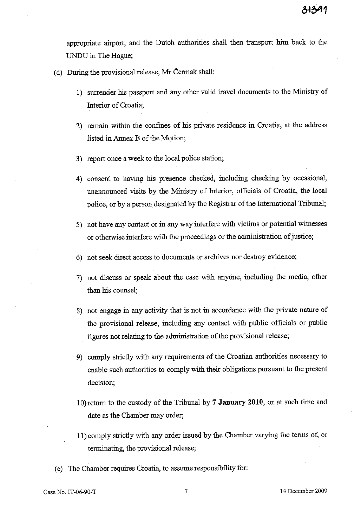appropriate airport, and the Dutch authorities shall then transport him back to the UNDU in The Hague;

(d) During the provisional release, Mr Cermak shall:

- 1) surrender his passport and any other valid travel documents to the Ministry of Interior of Croatia;
- 2) remain within the confines of his private residence in Croatia, at the address listed in Annex B of the Motion;
- 3) report once a week to the local police station;
- 4) consent to having his presence checked, including checking by occasional, unannounced visits by the Ministry of Interior, officials of Croatia, the local police, or by a person designated by the Registrar of the International Tribunal;
- 5) not have any contact or in any way interfere with victims or potential witnesses or otherwise interfere with the proceedings or the administration of justice;
- 6) not seek direct access to documents or archives nor destroy evidence;
- 7) not discuss or speak about the case with anyone, including the media, other than his counsel;
- 8) not engage in any activity that is not in accordance with the private nature of the provisional release, including any contact. with public officials or public figures not relating to the administration of the provisional release;
- 9) comply strictly with any requirements of the Croatian authorities necessary to enable such authorities to comply with their obligations pursuant to the present decision;
- 10)retnrn to the custody of the Tribunal by 7 **January 2010,** or at such time and date as the Chamber may order;
- 11) comply strictly with any order issued by the Chamber varying the terms of, or terminating, the provisional release;
- ( e) The Chamber requires Croatia, to assume responsibility for: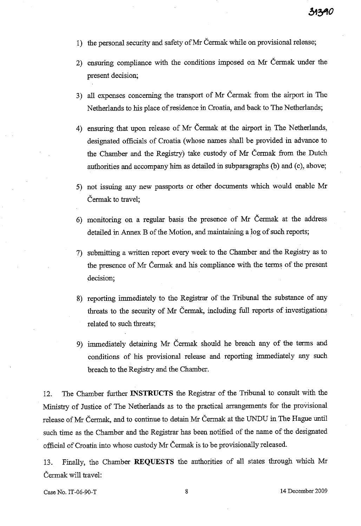- 1) the personal security and safety of Mr Čermak while on provisional release;
- 2) ensuring compliance with the conditions imposed on Mr Cennak under the present decision;
- 3) all expenses concerning the transport of Mr Cennak from the airport in The Netherlands to his place of residence in Croatia, and back to The Netherlands;
- 4) ensuring that upon release of Mr Cermak at the airport in The Netherlands, designated officials of Croatia (whose names shall be provided in advance to the Chamber and the Registry) take custody of Mr Cennak from the Dutch authorities and accompany him as detailed in subparagraphs (b) and (c), above;
- 5) not issuing any new passports or other documents which would enable Mr Čermak to travel;
- 6) monitoring on a regular basis the presence of Mr Cermak at the address detailed in Annex B of the Motion, and maintaining a log of such reports;
- 7) submitting a written report every week to the Chamber and the Registry as to the presence of Mr Cennak and his compliance with the tenns of the present decision;
- 8) reporting immediately to the Registrar of the Tribunal the substance of any threats to the security of Mr Cennak, including full reports of investigations related to such threats;
- 9) innnediate1y detaining Mr Cennak should he breach any of the terms and conditions of his provisional release and reporting immediately any such breach to the Registry and the Chamber.

12. The Chamber further **INSTRUCTS** the Registrar of the Tribunal to consult with the Ministry of Justice of The Netherlands as to the practical arrangements for the provisional release of Mr Čermak, and to continue to detain Mr Čermak at the UNDU in The Hague until such time as the Chamber and the Registrar has been notified of the name of the designated official of Croatia into whose custody Mr Cermak is to be provisionally released.

13. Finally, the Chamber **REQUESTS** the authorities of all states through which Mr Cennak will travel: